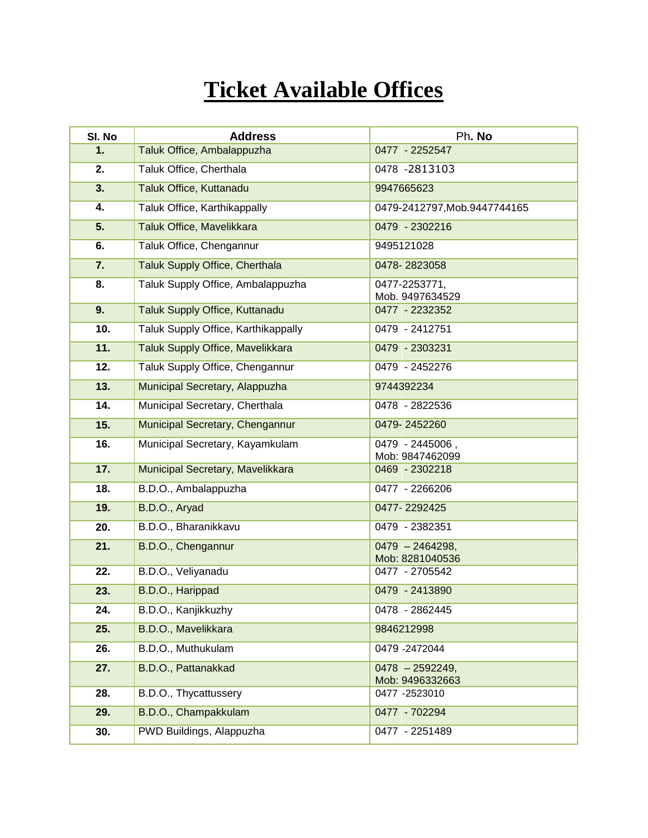## **Ticket Available Offices**

| SI. No | <b>Address</b>                      | Ph. No                               |
|--------|-------------------------------------|--------------------------------------|
| 1.     | Taluk Office, Ambalappuzha          | 0477 - 2252547                       |
| 2.     | Taluk Office, Cherthala             | 0478 -2813103                        |
| 3.     | Taluk Office, Kuttanadu             | 9947665623                           |
| 4.     | Taluk Office, Karthikappally        | 0479-2412797, Mob. 9447744165        |
| 5.     | Taluk Office, Mavelikkara           | 0479 - 2302216                       |
| 6.     | Taluk Office, Chengannur            | 9495121028                           |
| 7.     | Taluk Supply Office, Cherthala      | 0478-2823058                         |
| 8.     | Taluk Supply Office, Ambalappuzha   | 0477-2253771,<br>Mob. 9497634529     |
| 9.     | Taluk Supply Office, Kuttanadu      | 0477 - 2232352                       |
| 10.    | Taluk Supply Office, Karthikappally | 0479 - 2412751                       |
| 11.    | Taluk Supply Office, Mavelikkara    | 0479 - 2303231                       |
| 12.    | Taluk Supply Office, Chengannur     | 0479 - 2452276                       |
| 13.    | Municipal Secretary, Alappuzha      | 9744392234                           |
| 14.    | Municipal Secretary, Cherthala      | 0478 - 2822536                       |
| 15.    | Municipal Secretary, Chengannur     | 0479-2452260                         |
| 16.    | Municipal Secretary, Kayamkulam     | 0479 - 2445006,<br>Mob: 9847462099   |
| 17.    | Municipal Secretary, Mavelikkara    | 0469 - 2302218                       |
| 18.    | B.D.O., Ambalappuzha                | 0477 - 2266206                       |
| 19.    | B.D.O., Aryad                       | 0477-2292425                         |
| 20.    | B.D.O., Bharanikkavu                | 0479 - 2382351                       |
| 21.    | B.D.O., Chengannur                  | $0479 - 2464298,$<br>Mob: 8281040536 |
| 22.    | B.D.O., Veliyanadu                  | 0477 - 2705542                       |
| 23.    | B.D.O., Harippad                    | 0479 - 2413890                       |
| 24.    | B.D.O., Kanjikkuzhy                 | 0478 - 2862445                       |
| 25.    | B.D.O., Mavelikkara                 | 9846212998                           |
| 26.    | B.D.O., Muthukulam                  | 0479 -2472044                        |
| 27.    | B.D.O., Pattanakkad                 | $0478 - 2592249,$                    |
| 28.    | B.D.O., Thycattussery               | Mob: 9496332663<br>0477 -2523010     |
| 29.    | B.D.O., Champakkulam                | 0477 - 702294                        |
| 30.    | PWD Buildings, Alappuzha            | 0477 - 2251489                       |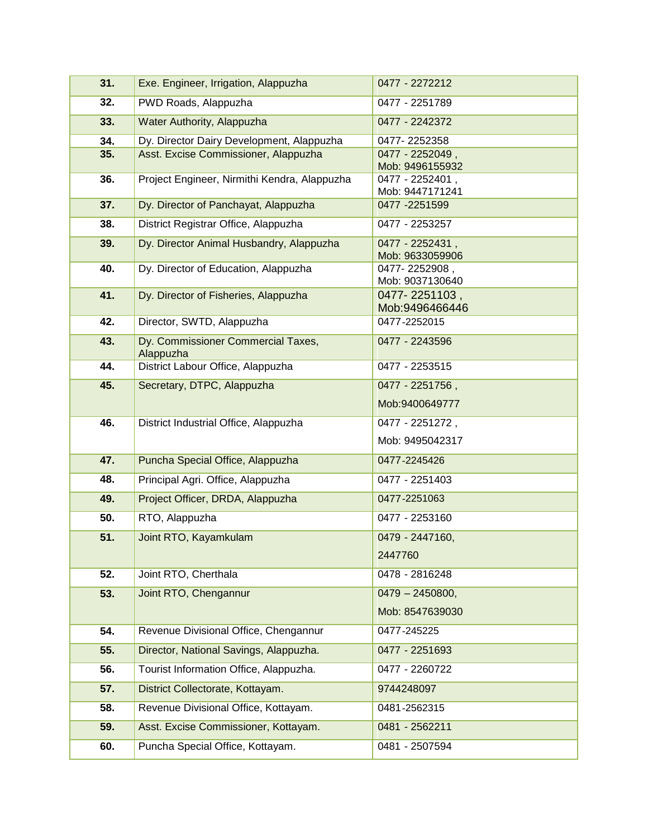| 31. | Exe. Engineer, Irrigation, Alappuzha            | 0477 - 2272212                     |
|-----|-------------------------------------------------|------------------------------------|
| 32. | PWD Roads, Alappuzha                            | 0477 - 2251789                     |
| 33. | Water Authority, Alappuzha                      | 0477 - 2242372                     |
| 34. | Dy. Director Dairy Development, Alappuzha       | 0477-2252358                       |
| 35. | Asst. Excise Commissioner, Alappuzha            | 0477 - 2252049,                    |
|     |                                                 | Mob: 9496155932                    |
| 36. | Project Engineer, Nirmithi Kendra, Alappuzha    | 0477 - 2252401,<br>Mob: 9447171241 |
| 37. | Dy. Director of Panchayat, Alappuzha            | 0477 - 2251599                     |
| 38. | District Registrar Office, Alappuzha            | 0477 - 2253257                     |
| 39. | Dy. Director Animal Husbandry, Alappuzha        | 0477 - 2252431,<br>Mob: 9633059906 |
| 40. | Dy. Director of Education, Alappuzha            | 0477-2252908,                      |
|     |                                                 | Mob: 9037130640                    |
| 41. | Dy. Director of Fisheries, Alappuzha            | 0477-2251103,                      |
|     |                                                 | Mob:9496466446                     |
| 42. | Director, SWTD, Alappuzha                       | 0477-2252015                       |
| 43. | Dy. Commissioner Commercial Taxes,<br>Alappuzha | 0477 - 2243596                     |
| 44. | District Labour Office, Alappuzha               | 0477 - 2253515                     |
| 45. | Secretary, DTPC, Alappuzha                      | 0477 - 2251756,                    |
|     |                                                 | Mob:9400649777                     |
| 46. | District Industrial Office, Alappuzha           | 0477 - 2251272,                    |
|     |                                                 | Mob: 9495042317                    |
| 47. | Puncha Special Office, Alappuzha                | 0477-2245426                       |
| 48. | Principal Agri. Office, Alappuzha               | 0477 - 2251403                     |
| 49. | Project Officer, DRDA, Alappuzha                | 0477-2251063                       |
| 50. | RTO, Alappuzha                                  | 0477 - 2253160                     |
| 51. | Joint RTO, Kayamkulam                           | 0479 - 2447160,                    |
|     |                                                 | 2447760                            |
| 52. | Joint RTO, Cherthala                            | 0478 - 2816248                     |
| 53. | Joint RTO, Chengannur                           | $0479 - 2450800,$                  |
|     |                                                 | Mob: 8547639030                    |
| 54. | Revenue Divisional Office, Chengannur           | 0477-245225                        |
| 55. | Director, National Savings, Alappuzha.          | 0477 - 2251693                     |
| 56. | Tourist Information Office, Alappuzha.          | 0477 - 2260722                     |
| 57. |                                                 | 9744248097                         |
|     | District Collectorate, Kottayam.                |                                    |
| 58. | Revenue Divisional Office, Kottayam.            | 0481-2562315                       |
| 59. | Asst. Excise Commissioner, Kottayam.            | 0481 - 2562211                     |